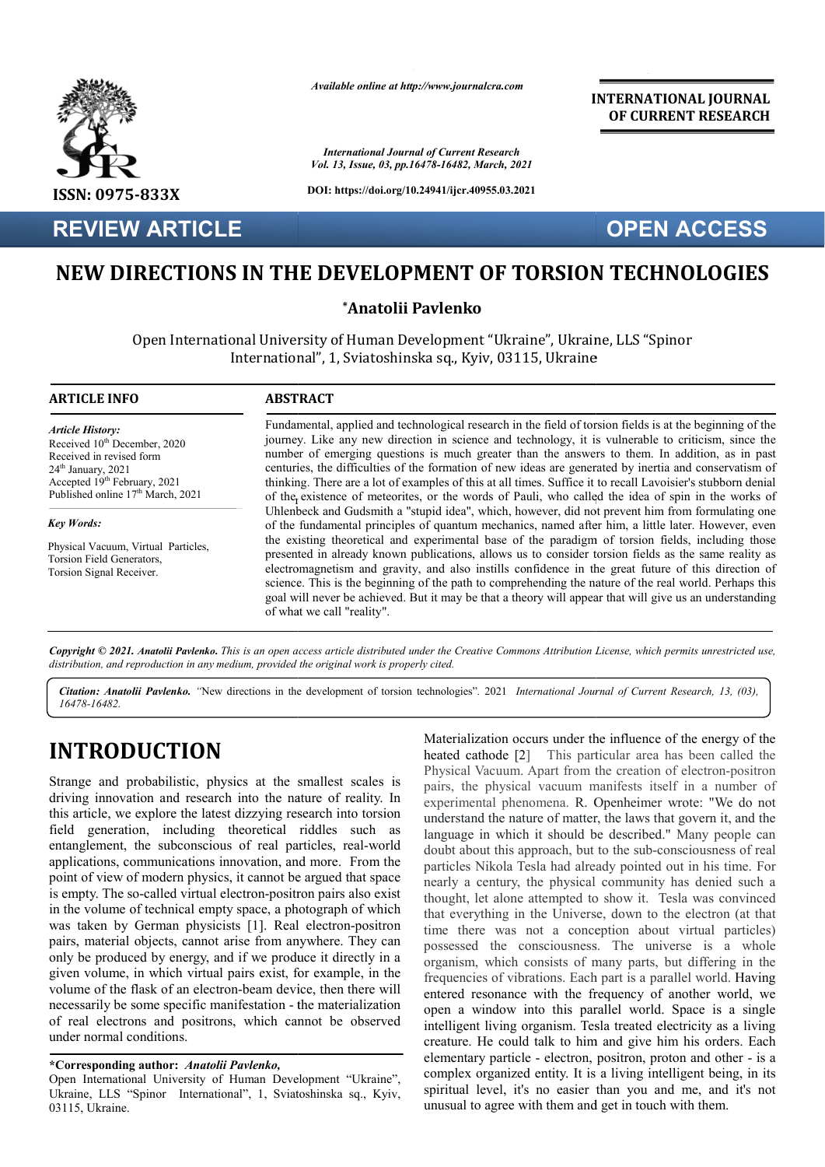

**REVIEW ARTICLE**

*Available online at http://www.journalcra.com*

*International Journal of Current Research Vol. 13, Issue, 03, pp.16478-16482, March, 2021*

**DOI: https://doi.org/10.24941/ijcr.40955.03.2021**

## **INTERNATIONAL JOURNAL OF CURRENT RESEARCH**

**OPEN ACCESS**

# **NEW DIRECTIONS IN THE DEVELOPMENT OF TORSION TECHNOLOGIES DIRECTIONS IN**

## **\*Anatolii Pavlenko**

Open International University of Human Development "Ukraine", Ukraine, LLS "Spinor International", 1, Sviatoshinska sq., Kyiv, 03115, Ukraine

### **ARTICLE INFO ABSTRACT**

*Article History: Article History:* Received 10<sup>th</sup> December, 2020 Received in revised form Received in revised form  $24<sup>th</sup>$  January,  $2021$ Accepted 19<sup>th</sup> February, 2021 Published online  $17<sup>th</sup>$  March, 2021

*Key Words: Key Words:*

 $D$ Physical Vacuum, Virtual Particles,<br>Tanjan Field Causatan Torsion Ficia Generators<br>Torsion Signal Receiver. Torsion Field Generators,

thinking. There are a lot of examples of this at all times. Suffice it to recall Lavoisier's stubborn denial of the existence of meteorites, or the words of Pauli, who called the idea of spin in the works of Fundamental, applied and technological research in the field of torsion fields is at the beginning of the journey. Like any new direction in science and technology, it is vulnerable to criticism, since the number of emerging questions is much greater than the answers to them. In addition, as in past centuries, the difficulties of the formation of new ideas are generated by inertia and conservatism o thinking. There are a lot of examples of this at all times. Suffice it to recall Lavoisier's stubborn denial Uhlenbeck and Gudsmith a "stupid idea", which, however, did not prevent him from formulating one of the fundamental principles of quantum mechanics, named after him, a little later. However, even the existing theoretical and experimental base of the paradigm of torsion fields, including those presented in already known publications, allows us to consider torsion fields as the same reality as electromagnetism and gravity, and also instills confidence in the great future of this direction of science. This is the beginning of the path to comprehending the nature of the real world. Perhaps this goal will never be achieved. But it may be that a theory will appear that will give us an understanding of what we call "reality". ted in already known publications, allows us to consider torsion fields as the same reality as magnetism and gravity, and also instills confidence in the great future of this direction of e. This is the beginning of the pa Fundamental, applied and technological research in the field of torsion fields is at the beginning of the journey. Like any new direction in science and technology, it is vulnerable to criticism, since the number of emergi Uhlenbeck and Gudsmith a "stupid idea", which, however, did not prevent him from formulating oof the fundamental principles of quantum mechanics, named after him, a little later. However, even the existing theoretical and

Copyright © 2021. Anatolii Pavlenko. This is an open access article distributed under the Creative Commons Attribution License, which permits unrestricted use, *distribution, and reproduction in any medium, provided the original work is properly cited.*

Citation: Anatolii Pavlenko. "New directions in the development of torsion technologies". 2021 International Journal of Current Research, 13, (03), *16478-16482.*

# **INTRODUCTION**

Strange and probabilistic, physics at the smallest scales is driving innovation and research into the nature of reality. In this article, we explore the latest dizzying research into torsion field generation, including theoretical riddles such as entanglement, the subconscious of real particles, real-world applications, communications innovation, and more. From the point of view of modern physics, it cannot be argued that space is empty. The so-called virtual electron-positron pairs also exist in the volume of technical empty space, a photograph of which was taken by German physicists [1]. Real electron-positron pairs, material objects, cannot arise from anywhere. They can only be produced by energy, and if we produce it directly in a given volume, in which virtual pairs exist, for example, in the volume of the flask of an electron-beam device, then there will necessarily be some specific manifestation - the materialization of real electrons and positrons, which cannot be observed under normal conditions. e so-called virtual electron-positron pairs also exist<br>e of technical empty space, a photograph of which<br>y German physicists [1]. Real electron-positron

## **\*Corresponding author:** *Anatolii Pavlenko,*

Open International University of Human Development "Ukraine", Ukraine, LLS "Spinor International", 1, Sviatoshinska sq., Kyiv, 03115, Ukraine.

Materialization occurs under the influence of the energy of the<br>
heated cathode [2] This particular area has been called the<br>
payical Vacuum. Apart from the creation of electron-positron<br>
izzying research into torsion<br>
izz heated cathode [2] This particular area has been called the Physical Vacuum. Apart from the creation of electron-positron pairs, the physical vacuum manifests itself in a number of experimental phenomena. R. Openheimer wrote: "We do not understand the nature of matter, the laws that govern it, and the pairs, the physical vacuum manifests itself in a number of experimental phenomena. R. Openheimer wrote: "We do not understand the nature of matter, the laws that govern it, and the language in which it should be described. doubt about this approach, but to the sub-consciousness of real particles Nikola Tesla had already pointed out in his time. For nearly a century, the physical community has denied such a thought, let alone attempted to show it. Tesla was convinced nearly a century, the physical community has denied such a thought, let alone attempted to show it. that everything in the Universe, down to the electron (at that time there was not a conception about virtual particles) possessed the consciousness. The universe is a whole organism, which consists of many parts, but differing in the frequencies of vibrations. Each part is a parallel world. entered resonance with the frequency of another world, we open a window into this parallel world. Space is a single intelligent living organism. Tesla treated electricity as a living creature. He could talk to him and give him his orders. Each elementary particle - electron, positron, proton and other complex organized entity. It is a living intelligent being, in its spiritual level, it's no easier than you and me, and it's not unusual to agree with them and get in touch with them. zation occurs under the influence of the energy of the athode [2] This particular area has been called the Vacuum. Apart from the creation of electron-positron the Universe, down to the electron (at that<br>not a conception about virtual particles)<br>nsciousness. The universe is a whole<br>onsists of many parts, but differing in the<br>ations. Each part is a parallel world. Having with the frequency of another world, we<br>o this parallel world. Space is a single<br>ganism. Tesla treated electricity as a living<br>alk to him and give him his orders. Each<br>- electron, positron, proton and other - is a **INTERNATIONAL JOURNAL OF CURRENT RESEARCH**<br> **INTERNATIONAL JOURNAL OF CURRENT RESEARCH**<br> *A*<br> **EQUATION TECHNOLOGIES**<br> **TORSION TECHNOLOGIES**<br> **TORSION TECHNOLOGIES**<br> **TORSION TECHNOLOGIES**<br> **EXECUATION ACCOUNT AND INT**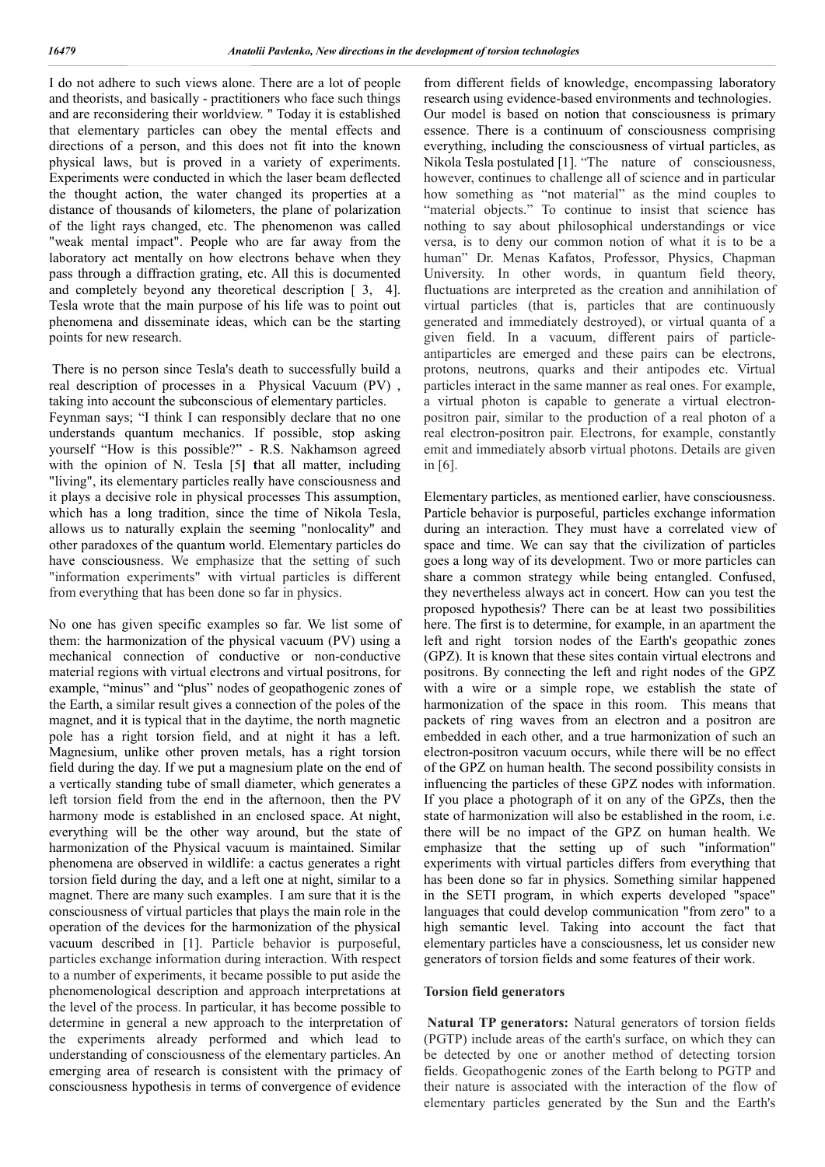I do not adhere to such views alone. There are a lot of people and theorists, and basically - practitioners who face such things and are reconsidering their worldview. " Today it is established that elementary particles can obey the mental effects and directions of a person, and this does not fit into the known physical laws, but is proved in a variety of experiments. Experiments were conducted in which the laser beam deflected the thought action, the water changed its properties at a distance of thousands of kilometers, the plane of polarization of the light rays changed, etc. The phenomenon was called "weak mental impact". People who are far away from the laboratory act mentally on how electrons behave when they pass through a diffraction grating, etc. All this is documented and completely beyond any theoretical description  $\lceil 3, 4 \rceil$ . Tesla wrote that the main purpose of his life was to point out phenomena and disseminate ideas, which can be the starting points for new research.

There is no person since Tesla's death to successfully build a real description of processes in a Physical Vacuum (PV) , taking into account the subconscious of elementary particles. Feynman says; "I think I can responsibly declare that no one understands quantum mechanics. If possible, stop asking yourself "How is this possible?" - R.S. Nakhamson agreed with the opinion of N. Tesla [5**] t**hat all matter, including "living", its elementary particles really have consciousness and it plays a decisive role in physical processes This assumption, which has a long tradition, since the time of Nikola Tesla, allows us to naturally explain the seeming "nonlocality" and other paradoxes of the quantum world. Elementary particles do have consciousness. We emphasize that the setting of such "information experiments" with virtual particles is different from everything that has been done so far in physics.

No one has given specific examples so far. We list some of them: the harmonization of the physical vacuum (PV) using a mechanical connection of conductive or non-conductive material regions with virtual electrons and virtual positrons, for example, "minus" and "plus" nodes of geopathogenic zones of the Earth, a similar result gives a connection of the poles of the magnet, and it is typical that in the daytime, the north magnetic pole has a right torsion field, and at night it has a left. Magnesium, unlike other proven metals, has a right torsion field during the day. If we put a magnesium plate on the end of a vertically standing tube of small diameter, which generates a left torsion field from the end in the afternoon, then the PV harmony mode is established in an enclosed space. At night, everything will be the other way around, but the state of harmonization of the Physical vacuum is maintained. Similar phenomena are observed in wildlife: a cactus generates a right torsion field during the day, and a left one at night, similar to a magnet. There are many such examples. I am sure that it is the consciousness of virtual particles that plays the main role in the operation of the devices for the harmonization of the physical vacuum described in [1]. Particle behavior is purposeful, particles exchange information during interaction. With respect to a number of experiments, it became possible to put aside the phenomenological description and approach interpretations at the level of the process. In particular, it has become possible to determine in general a new approach to the interpretation of the experiments already performed and which lead to understanding of consciousness of the elementary particles. An emerging area of research is consistent with the primacy of consciousness hypothesis in terms of convergence of evidence

from different fields of knowledge, encompassing laboratory research using evidence-based environments and technologies. Our model is based on notion that consciousness is primary essence. There is a continuum of consciousness comprising everything, including the consciousness of virtual particles, as Nikola Tesla postulated [1]. "The nature of consciousness, however, continues to challenge all of science and in particular how something as "not material" as the mind couples to "material objects." To continue to insist that science has nothing to say about philosophical understandings or vice versa, is to deny our common notion of what it is to be a human" Dr. Menas Kafatos, Professor, Physics, Chapman University. In other words, in quantum field theory, fluctuations are interpreted as the creation and annihilation of virtual particles (that is, particles that are continuously generated and immediately destroyed), or virtual quanta of a given field. In a vacuum, different pairs of particleantiparticles are emerged and these pairs can be electrons, protons, neutrons, quarks and their antipodes etc. Virtual particles interact in the same manner as real ones. For example, a virtual photon is capable to generate a virtual electronpositron pair, similar to the production of a real photon of a real electron-positron pair. Electrons, for example, constantly emit and immediately absorb virtual photons. Details are given in [6].

Elementary particles, as mentioned earlier, have consciousness. Particle behavior is purposeful, particles exchange information during an interaction. They must have a correlated view of space and time. We can say that the civilization of particles goes a long way of its development. Two or more particles can share a common strategy while being entangled. Confused, they nevertheless always act in concert. How can you test the proposed hypothesis? There can be at least two possibilities here. The first is to determine, for example, in an apartment the left and right torsion nodes of the Earth's geopathic zones (GPZ). It is known that these sites contain virtual electrons and positrons. By connecting the left and right nodes of the GPZ with a wire or a simple rope, we establish the state of harmonization of the space in this room. This means that packets of ring waves from an electron and a positron are embedded in each other, and a true harmonization of such an electron-positron vacuum occurs, while there will be no effect of the GPZ on human health. The second possibility consists in influencing the particles of these GPZ nodes with information. If you place a photograph of it on any of the GPZs, then the state of harmonization will also be established in the room, i.e. there will be no impact of the GPZ on human health. We emphasize that the setting up of such "information" experiments with virtual particles differs from everything that has been done so far in physics. Something similar happened in the SETI program, in which experts developed "space" languages that could develop communication "from zero" to a high semantic level. Taking into account the fact that elementary particles have a consciousness, let us consider new generators of torsion fields and some features of their work.

### **Torsion field generators**

**Natural TP generators:** Natural generators of torsion fields (PGTP) include areas of the earth's surface, on which they can be detected by one or another method of detecting torsion fields. Geopathogenic zones of the Earth belong to PGTP and their nature is associated with the interaction of the flow of elementary particles generated by the Sun and the Earth's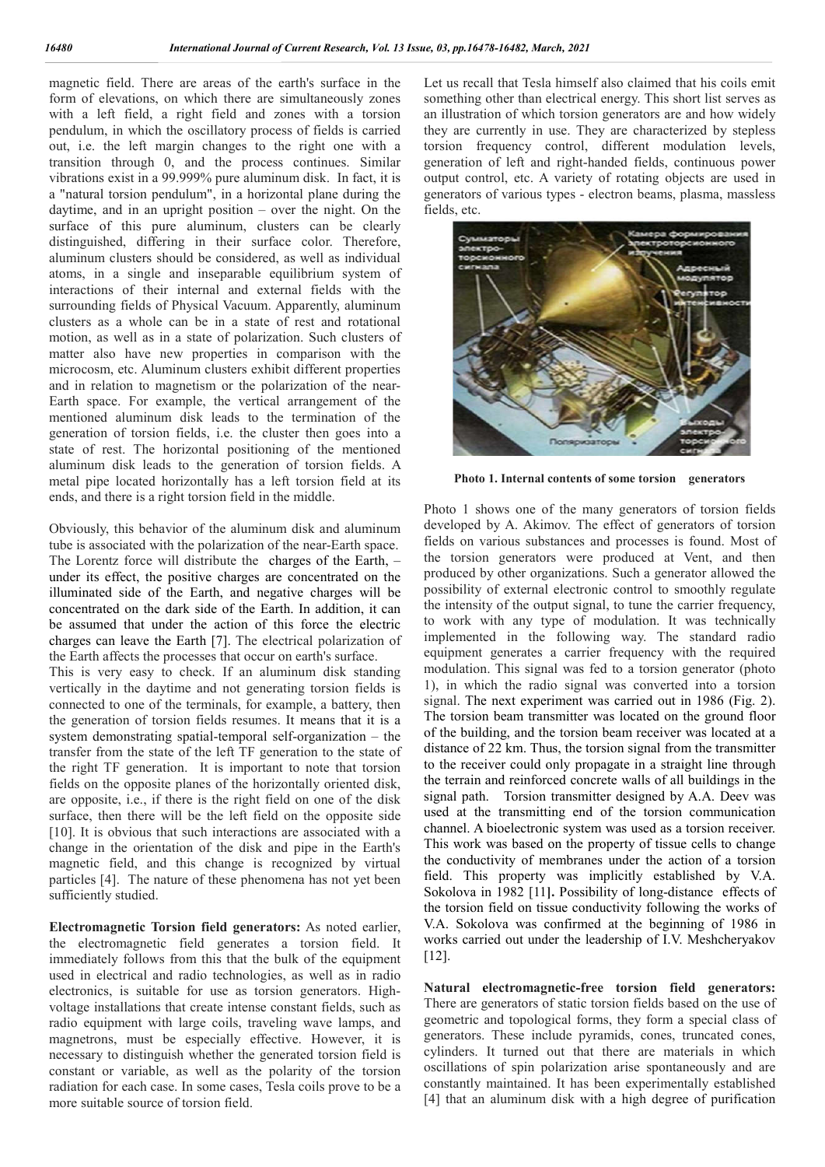magnetic field. There are areas of the earth's surface in the form of elevations, on which there are simultaneously zones with a left field, a right field and zones with a torsion pendulum, in which the oscillatory process of fields is carried out, i.e. the left margin changes to the right one with a transition through 0, and the process continues. Similar vibrations exist in a 99.999% pure aluminum disk. In fact, it is a "natural torsion pendulum", in a horizontal plane during the daytime, and in an upright position – over the night. On the surface of this pure aluminum, clusters can be clearly distinguished, differing in their surface color. Therefore, aluminum clusters should be considered, as well as individual atoms, in a single and inseparable equilibrium system of interactions of their internal and external fields with the surrounding fields of Physical Vacuum. Apparently, aluminum clusters as a whole can be in a state of rest and rotational motion, as well as in a state of polarization. Such clusters of matter also have new properties in comparison with the microcosm, etc. Aluminum clusters exhibit different properties and in relation to magnetism or the polarization of the near-Earth space. For example, the vertical arrangement of the mentioned aluminum disk leads to the termination of the generation of torsion fields, i.e. the cluster then goes into a state of rest. The horizontal positioning of the mentioned aluminum disk leads to the generation of torsion fields. A metal pipe located horizontally has a left torsion field at its ends, and there is a right torsion field in the middle.

Obviously, this behavior of the aluminum disk and aluminum tube is associated with the polarization of the near-Earth space. The Lorentz force will distribute the charges of the Earth, – under its effect, the positive charges are concentrated on the illuminated side of the Earth, and negative charges will be concentrated on the dark side of the Earth. In addition, it can be assumed that under the action of this force the electric charges can leave the Earth [7]. The electrical polarization of the Earth affects the processes that occur on earth's surface. This is very easy to check. If an aluminum disk standing vertically in the daytime and not generating torsion fields is connected to one of the terminals, for example, a battery, then the generation of torsion fields resumes. It means that it is a system demonstrating spatial-temporal self-organization – the transfer from the state of the left TF generation to the state of the right TF generation. It is important to note that torsion fields on the opposite planes of the horizontally oriented disk, are opposite, i.e., if there is the right field on one of the disk surface, then there will be the left field on the opposite side [10]. It is obvious that such interactions are associated with a change in the orientation of the disk and pipe in the Earth's magnetic field, and this change is recognized by virtual particles [4]. The nature of these phenomena has not yet been sufficiently studied.

**Electromagnetic Torsion field generators:** As noted earlier, the electromagnetic field generates a torsion field. It immediately follows from this that the bulk of the equipment used in electrical and radio technologies, as well as in radio electronics, is suitable for use as torsion generators. Highvoltage installations that create intense constant fields, such as radio equipment with large coils, traveling wave lamps, and magnetrons, must be especially effective. However, it is necessary to distinguish whether the generated torsion field is constant or variable, as well as the polarity of the torsion radiation for each case. In some cases, Tesla coils prove to be a more suitable source of torsion field.

Let us recall that Tesla himself also claimed that his coils emit something other than electrical energy. This short list serves as an illustration of which torsion generators are and how widely they are currently in use. They are characterized by stepless torsion frequency control, different modulation levels, generation of left and right-handed fields, continuous power output control, etc. A variety of rotating objects are used in generators of various types - electron beams, plasma, massless fields, etc.



**Photo 1. Internal contents of some torsion generators**

Photo 1 shows one of the many generators of torsion fields developed by A. Akimov. The effect of generators of torsion fields on various substances and processes is found. Most of the torsion generators were produced at Vent, and then produced by other organizations. Such a generator allowed the possibility of external electronic control to smoothly regulate the intensity of the output signal, to tune the carrier frequency, to work with any type of modulation. It was technically implemented in the following way. The standard radio equipment generates a carrier frequency with the required modulation. This signal was fed to a torsion generator (photo 1), in which the radio signal was converted into a torsion signal. The next experiment was carried out in 1986 (Fig. 2). The torsion beam transmitter was located on the ground floor of the building, and the torsion beam receiver was located at a distance of 22 km. Thus, the torsion signal from the transmitter to the receiver could only propagate in a straight line through the terrain and reinforced concrete walls of all buildings in the signal path. Torsion transmitter designed by A.A. Deev was used at the transmitting end of the torsion communication channel. A bioelectronic system was used as a torsion receiver. This work was based on the property of tissue cells to change the conductivity of membranes under the action of a torsion field. This property was implicitly established by V.A. Sokolova in 1982 [11**].** Possibility of long-distance effects of the torsion field on tissue conductivity following the works of V.А. Sokolova was confirmed at the beginning of 1986 in works carried out under the leadership of I.V. Meshcheryakov [12].

**Natural electromagnetic-free torsion field generators:**  There are generators of static torsion fields based on the use of geometric and topological forms, they form a special class of generators. These include pyramids, cones, truncated cones, cylinders. It turned out that there are materials in which oscillations of spin polarization arise spontaneously and are constantly maintained. It has been experimentally established [4] that an aluminum disk with a high degree of purification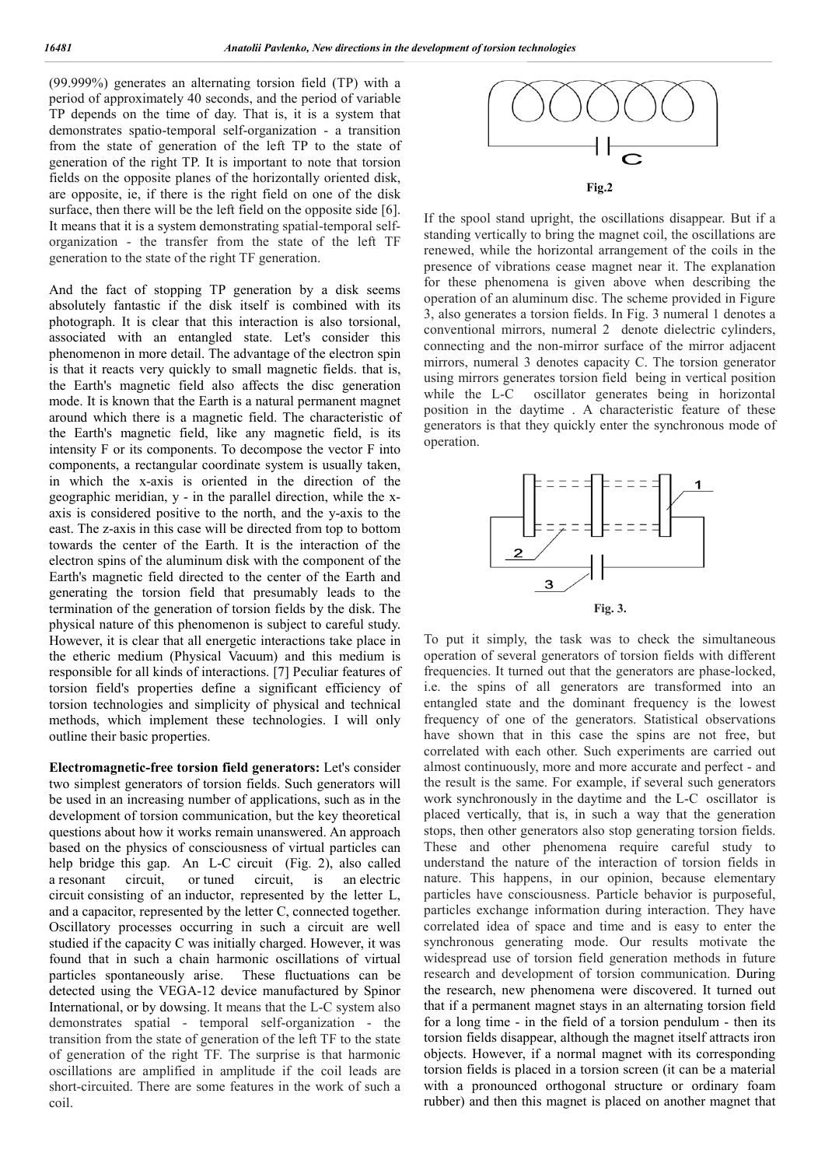(99.999%) generates an alternating torsion field (TP) with a period of approximately 40 seconds, and the period of variable TP depends on the time of day. That is, it is a system that demonstrates spatio-temporal self-organization - a transition from the state of generation of the left TP to the state of generation of the right TP. It is important to note that torsion fields on the opposite planes of the horizontally oriented disk, are opposite, ie, if there is the right field on one of the disk surface, then there will be the left field on the opposite side [6]. It means that it is a system demonstrating spatial-temporal selforganization - the transfer from the state of the left TF generation to the state of the right TF generation.

And the fact of stopping TP generation by a disk seems absolutely fantastic if the disk itself is combined with its photograph. It is clear that this interaction is also torsional, associated with an entangled state. Let's consider this phenomenon in more detail. The advantage of the electron spin is that it reacts very quickly to small magnetic fields. that is, the Earth's magnetic field also affects the disc generation mode. It is known that the Earth is a natural permanent magnet around which there is a magnetic field. The characteristic of the Earth's magnetic field, like any magnetic field, is its intensity F or its components. To decompose the vector F into components, a rectangular coordinate system is usually taken, in which the x-axis is oriented in the direction of the geographic meridian, y - in the parallel direction, while the xaxis is considered positive to the north, and the y-axis to the east. The z-axis in this case will be directed from top to bottom towards the center of the Earth. It is the interaction of the electron spins of the aluminum disk with the component of the Earth's magnetic field directed to the center of the Earth and generating the torsion field that presumably leads to the termination of the generation of torsion fields by the disk. The physical nature of this phenomenon is subject to careful study. However, it is clear that all energetic interactions take place in the etheric medium (Physical Vacuum) and this medium is responsible for all kinds of interactions. [7] Peculiar features of torsion field's properties define a significant efficiency of torsion technologies and simplicity of physical and technical methods, which implement these technologies. I will only outline their basic properties.

**Electromagnetic-free torsion field generators:** Let's consider two simplest generators of torsion fields. Such generators will be used in an increasing number of applications, such as in the development of torsion communication, but the key theoretical questions about how it works remain unanswered. An approach based on the physics of consciousness of virtual particles can help bridge this gap. An L-C circuit (Fig. 2), also called a resonant circuit, or tuned circuit, is an electric circuit consisting of an inductor, represented by the letter L, and a capacitor, represented by the letter C, connected together. Oscillatory processes occurring in such a circuit are well studied if the capacity C was initially charged. However, it was found that in such a chain harmonic oscillations of virtual particles spontaneously arise. These fluctuations can be detected using the VEGA-12 device manufactured by Spinor International, or by dowsing. It means that the L-C system also demonstrates spatial - temporal self-organization - the transition from the state of generation of the left TF to the state of generation of the right TF. The surprise is that harmonic oscillations are amplified in amplitude if the coil leads are short-circuited. There are some features in the work of such a coil.



If the spool stand upright, the oscillations disappear. But if a standing vertically to bring the magnet coil, the oscillations are renewed, while the horizontal arrangement of the coils in the presence of vibrations cease magnet near it. The explanation for these phenomena is given above when describing the operation of an aluminum disc. The scheme provided in Figure 3, also generates a torsion fields. In Fig. 3 numeral 1 denotes a conventional mirrors, numeral 2 denote dielectric cylinders, connecting and the non-mirror surface of the mirror adjacent mirrors, numeral 3 denotes capacity C. The torsion generator using mirrors generates torsion field being in vertical position while the L-C oscillator generates being in horizontal position in the daytime . A characteristic feature of these generators is that they quickly enter the synchronous mode of operation.



To put it simply, the task was to check the simultaneous operation of several generators of torsion fields with different frequencies. It turned out that the generators are phase-locked, i.e. the spins of all generators are transformed into an entangled state and the dominant frequency is the lowest frequency of one of the generators. Statistical observations have shown that in this case the spins are not free, but correlated with each other. Such experiments are carried out almost continuously, more and more accurate and perfect - and the result is the same. For example, if several such generators work synchronously in the daytime and the L-C oscillator is placed vertically, that is, in such a way that the generation stops, then other generators also stop generating torsion fields. These and other phenomena require careful study to understand the nature of the interaction of torsion fields in nature. This happens, in our opinion, because elementary particles have consciousness. Particle behavior is purposeful, particles exchange information during interaction. They have correlated idea of space and time and is easy to enter the synchronous generating mode. Our results motivate the widespread use of torsion field generation methods in future research and development of torsion communication. During the research, new phenomena were discovered. It turned out that if a permanent magnet stays in an alternating torsion field for a long time - in the field of a torsion pendulum - then its torsion fields disappear, although the magnet itself attracts iron objects. However, if a normal magnet with its corresponding torsion fields is placed in a torsion screen (it can be a material with a pronounced orthogonal structure or ordinary foam rubber) and then this magnet is placed on another magnet that